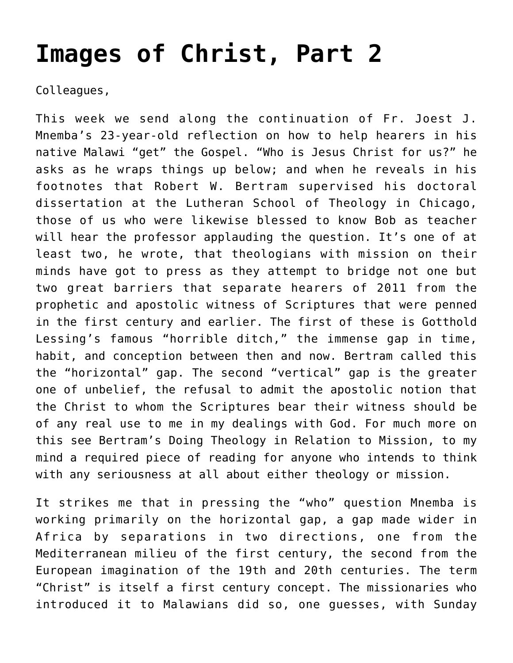# **[Images of Christ, Part 2](https://crossings.org/images-of-christ-part-2/)**

Colleagues,

This week we send along the continuation of Fr. Joest J. Mnemba's 23-year-old reflection on how to help hearers in his native Malawi "get" the Gospel. "Who is Jesus Christ for us?" he asks as he wraps things up below; and when he reveals in his footnotes that Robert W. Bertram supervised his doctoral dissertation at the Lutheran School of Theology in Chicago, those of us who were likewise blessed to know Bob as teacher will hear the professor applauding the question. It's one of at least two, he wrote, that theologians with mission on their minds have got to press as they attempt to bridge not one but two great barriers that separate hearers of 2011 from the prophetic and apostolic witness of Scriptures that were penned in the first century and earlier. The first of these is Gotthold Lessing's famous "horrible ditch," the immense gap in time, habit, and conception between then and now. Bertram called this the "horizontal" gap. The second "vertical" gap is the greater one of unbelief, the refusal to admit the apostolic notion that the Christ to whom the Scriptures bear their witness should be of any real use to me in my dealings with God. For much more on this see Bertram's Doing Theology in Relation to Mission, to my mind a required piece of reading for anyone who intends to think with any seriousness at all about either theology or mission.

It strikes me that in pressing the "who" question Mnemba is working primarily on the horizontal gap, a gap made wider in Africa by separations in two directions, one from the Mediterranean milieu of the first century, the second from the European imagination of the 19th and 20th centuries. The term "Christ" is itself a first century concept. The missionaries who introduced it to Malawians did so, one guesses, with Sunday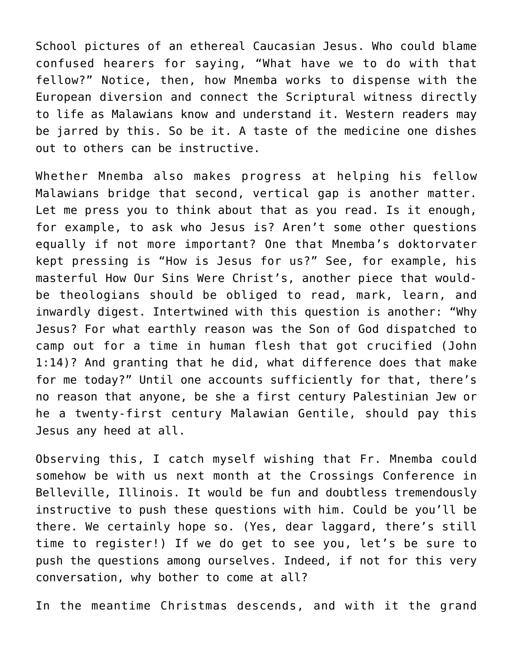School pictures of an ethereal Caucasian Jesus. Who could blame confused hearers for saying, "What have we to do with that fellow?" Notice, then, how Mnemba works to dispense with the European diversion and connect the Scriptural witness directly to life as Malawians know and understand it. Western readers may be jarred by this. So be it. A taste of the medicine one dishes out to others can be instructive.

Whether Mnemba also makes progress at helping his fellow Malawians bridge that second, vertical gap is another matter. Let me press you to think about that as you read. Is it enough, for example, to ask who Jesus is? Aren't some other questions equally if not more important? One that Mnemba's doktorvater kept pressing is "How is Jesus for us?" See, for example, his masterful How Our Sins Were Christ's, another piece that wouldbe theologians should be obliged to read, mark, learn, and inwardly digest. Intertwined with this question is another: "Why Jesus? For what earthly reason was the Son of God dispatched to camp out for a time in human flesh that got crucified (John 1:14)? And granting that he did, what difference does that make for me today?" Until one accounts sufficiently for that, there's no reason that anyone, be she a first century Palestinian Jew or he a twenty-first century Malawian Gentile, should pay this Jesus any heed at all.

Observing this, I catch myself wishing that Fr. Mnemba could somehow be with us next month at the Crossings Conference in Belleville, Illinois. It would be fun and doubtless tremendously instructive to push these questions with him. Could be you'll be there. We certainly hope so. (Yes, dear laggard, there's still time to register!) If we do get to see you, let's be sure to push the questions among ourselves. Indeed, if not for this very conversation, why bother to come at all?

In the meantime Christmas descends, and with it the grand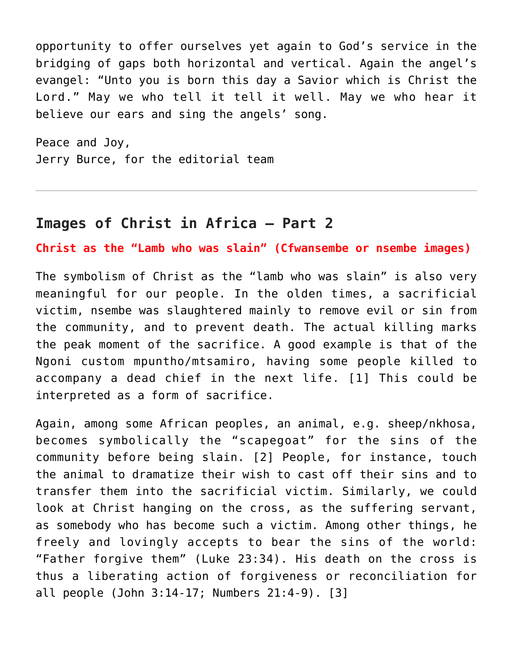opportunity to offer ourselves yet again to God's service in the bridging of gaps both horizontal and vertical. Again the angel's evangel: "Unto you is born this day a Savior which is Christ the Lord." May we who tell it tell it well. May we who hear it believe our ears and sing the angels' song.

Peace and Joy, Jerry Burce, for the editorial team

## **Images of Christ in Africa — Part 2**

**Christ as the "Lamb who was slain" (Cfwansembe or nsembe images)**

The symbolism of Christ as the "lamb who was slain" is also very meaningful for our people. In the olden times, a sacrificial victim, nsembe was slaughtered mainly to remove evil or sin from the community, and to prevent death. The actual killing marks the peak moment of the sacrifice. A good example is that of the Ngoni custom mpuntho/mtsamiro, having some people killed to accompany a dead chief in the next life. [1] This could be interpreted as a form of sacrifice.

Again, among some African peoples, an animal, e.g. sheep/nkhosa, becomes symbolically the "scapegoat" for the sins of the community before being slain. [2] People, for instance, touch the animal to dramatize their wish to cast off their sins and to transfer them into the sacrificial victim. Similarly, we could look at Christ hanging on the cross, as the suffering servant, as somebody who has become such a victim. Among other things, he freely and lovingly accepts to bear the sins of the world: "Father forgive them" (Luke 23:34). His death on the cross is thus a liberating action of forgiveness or reconciliation for all people (John 3:14-17; Numbers 21:4-9). [3]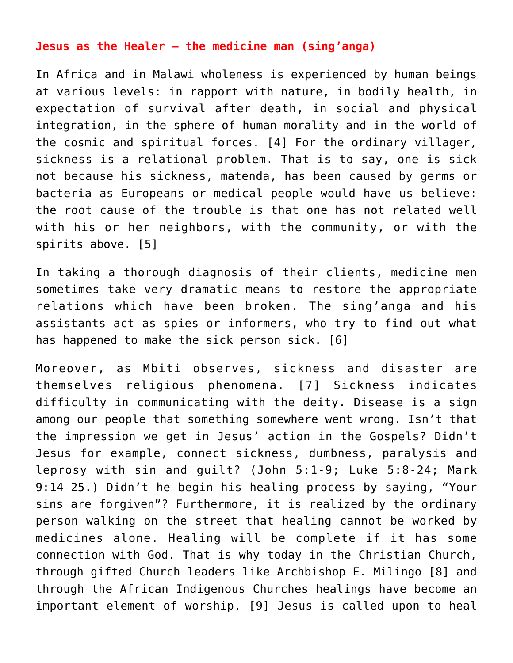### **Jesus as the Healer – the medicine man (sing'anga)**

In Africa and in Malawi wholeness is experienced by human beings at various levels: in rapport with nature, in bodily health, in expectation of survival after death, in social and physical integration, in the sphere of human morality and in the world of the cosmic and spiritual forces. [4] For the ordinary villager, sickness is a relational problem. That is to say, one is sick not because his sickness, matenda, has been caused by germs or bacteria as Europeans or medical people would have us believe: the root cause of the trouble is that one has not related well with his or her neighbors, with the community, or with the spirits above. [5]

In taking a thorough diagnosis of their clients, medicine men sometimes take very dramatic means to restore the appropriate relations which have been broken. The sing'anga and his assistants act as spies or informers, who try to find out what has happened to make the sick person sick. [6]

Moreover, as Mbiti observes, sickness and disaster are themselves religious phenomena. [7] Sickness indicates difficulty in communicating with the deity. Disease is a sign among our people that something somewhere went wrong. Isn't that the impression we get in Jesus' action in the Gospels? Didn't Jesus for example, connect sickness, dumbness, paralysis and leprosy with sin and guilt? (John 5:1-9; Luke 5:8-24; Mark 9:14-25.) Didn't he begin his healing process by saying, "Your sins are forgiven"? Furthermore, it is realized by the ordinary person walking on the street that healing cannot be worked by medicines alone. Healing will be complete if it has some connection with God. That is why today in the Christian Church, through gifted Church leaders like Archbishop E. Milingo [8] and through the African Indigenous Churches healings have become an important element of worship. [9] Jesus is called upon to heal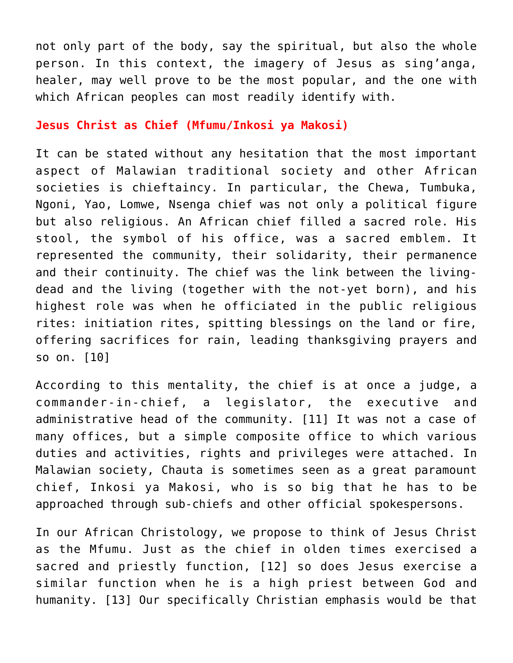not only part of the body, say the spiritual, but also the whole person. In this context, the imagery of Jesus as sing'anga, healer, may well prove to be the most popular, and the one with which African peoples can most readily identify with.

### **Jesus Christ as Chief (Mfumu/Inkosi ya Makosi)**

It can be stated without any hesitation that the most important aspect of Malawian traditional society and other African societies is chieftaincy. In particular, the Chewa, Tumbuka, Ngoni, Yao, Lomwe, Nsenga chief was not only a political figure but also religious. An African chief filled a sacred role. His stool, the symbol of his office, was a sacred emblem. It represented the community, their solidarity, their permanence and their continuity. The chief was the link between the livingdead and the living (together with the not-yet born), and his highest role was when he officiated in the public religious rites: initiation rites, spitting blessings on the land or fire, offering sacrifices for rain, leading thanksgiving prayers and so on. [10]

According to this mentality, the chief is at once a judge, a commander-in-chief, a legislator, the executive and administrative head of the community. [11] It was not a case of many offices, but a simple composite office to which various duties and activities, rights and privileges were attached. In Malawian society, Chauta is sometimes seen as a great paramount chief, Inkosi ya Makosi, who is so big that he has to be approached through sub-chiefs and other official spokespersons.

In our African Christology, we propose to think of Jesus Christ as the Mfumu. Just as the chief in olden times exercised a sacred and priestly function, [12] so does Jesus exercise a similar function when he is a high priest between God and humanity. [13] Our specifically Christian emphasis would be that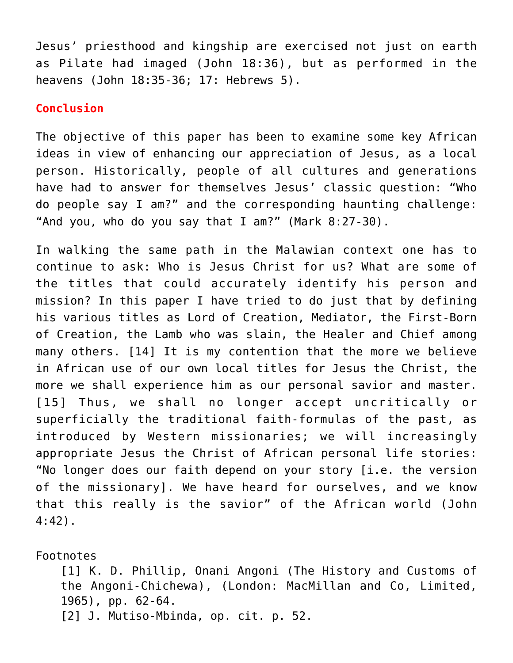Jesus' priesthood and kingship are exercised not just on earth as Pilate had imaged (John 18:36), but as performed in the heavens (John 18:35-36; 17: Hebrews 5).

#### **Conclusion**

The objective of this paper has been to examine some key African ideas in view of enhancing our appreciation of Jesus, as a local person. Historically, people of all cultures and generations have had to answer for themselves Jesus' classic question: "Who do people say I am?" and the corresponding haunting challenge: "And you, who do you say that I am?" (Mark 8:27-30).

In walking the same path in the Malawian context one has to continue to ask: Who is Jesus Christ for us? What are some of the titles that could accurately identify his person and mission? In this paper I have tried to do just that by defining his various titles as Lord of Creation, Mediator, the First-Born of Creation, the Lamb who was slain, the Healer and Chief among many others. [14] It is my contention that the more we believe in African use of our own local titles for Jesus the Christ, the more we shall experience him as our personal savior and master. [15] Thus, we shall no longer accept uncritically or superficially the traditional faith-formulas of the past, as introduced by Western missionaries; we will increasingly appropriate Jesus the Christ of African personal life stories: "No longer does our faith depend on your story [i.e. the version of the missionary]. We have heard for ourselves, and we know that this really is the savior" of the African world (John 4:42).

Footnotes

[1] K. D. Phillip, Onani Angoni (The History and Customs of the Angoni-Chichewa), (London: MacMillan and Co, Limited, 1965), pp. 62-64.

[2] J. Mutiso-Mbinda, op. cit. p. 52.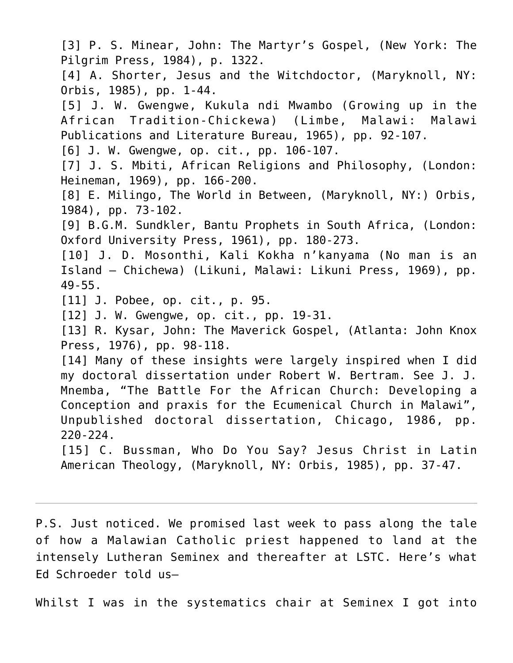[3] P. S. Minear, John: The Martyr's Gospel, (New York: The Pilgrim Press, 1984), p. 1322. [4] A. Shorter, Jesus and the Witchdoctor, (Maryknoll, NY: Orbis, 1985), pp. 1-44. [5] J. W. Gwengwe, Kukula ndi Mwambo (Growing up in the African Tradition-Chickewa) (Limbe, Malawi: Malawi Publications and Literature Bureau, 1965), pp. 92-107. [6] J. W. Gwengwe, op. cit., pp. 106-107. [7] J. S. Mbiti, African Religions and Philosophy, (London: Heineman, 1969), pp. 166-200. [8] E. Milingo, The World in Between, (Maryknoll, NY:) Orbis, 1984), pp. 73-102. [9] B.G.M. Sundkler, Bantu Prophets in South Africa, (London: Oxford University Press, 1961), pp. 180-273. [10] J. D. Mosonthi, Kali Kokha n'kanyama (No man is an Island – Chichewa) (Likuni, Malawi: Likuni Press, 1969), pp. 49-55. [11] J. Pobee, op. cit., p. 95. [12] J. W. Gwengwe, op. cit., pp. 19-31. [13] R. Kysar, John: The Maverick Gospel, (Atlanta: John Knox Press, 1976), pp. 98-118. [14] Many of these insights were largely inspired when I did my doctoral dissertation under Robert W. Bertram. See J. J. Mnemba, "The Battle For the African Church: Developing a Conception and praxis for the Ecumenical Church in Malawi", Unpublished doctoral dissertation, Chicago, 1986, pp. 220-224. [15] C. Bussman, Who Do You Say? Jesus Christ in Latin American Theology, (Maryknoll, NY: Orbis, 1985), pp. 37-47.

P.S. Just noticed. We promised last week to pass along the tale of how a Malawian Catholic priest happened to land at the intensely Lutheran Seminex and thereafter at LSTC. Here's what Ed Schroeder told us–

Whilst I was in the systematics chair at Seminex I got into